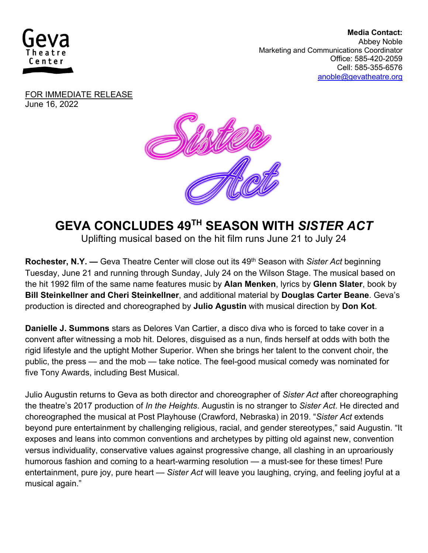

 **Media Contact:**  Abbey Noble Marketing and Communications Coordinator Office: 585-420-2059 Cell: 585-355-6576 anoble@gevatheatre.org

FOR IMMEDIATE RELEASE June 16, 2022



## **GEVA CONCLUDES 49TH SEASON WITH** *SISTER ACT*

Uplifting musical based on the hit film runs June 21 to July 24

**Rochester, N.Y. —** Geva Theatre Center will close out its 49th Season with *Sister Act* beginning Tuesday, June 21 and running through Sunday, July 24 on the Wilson Stage. The musical based on the hit 1992 film of the same name features music by **Alan Menken**, lyrics by **Glenn Slater**, book by **Bill Steinkellner and Cheri Steinkellner**, and additional material by **Douglas Carter Beane**. Geva's production is directed and choreographed by **Julio Agustin** with musical direction by **Don Kot**.

**Danielle J. Summons** stars as Delores Van Cartier, a disco diva who is forced to take cover in a convent after witnessing a mob hit. Delores, disguised as a nun, finds herself at odds with both the rigid lifestyle and the uptight Mother Superior. When she brings her talent to the convent choir, the public, the press — and the mob — take notice. The feel-good musical comedy was nominated for five Tony Awards, including Best Musical.

Julio Augustin returns to Geva as both director and choreographer of *Sister Act* after choreographing the theatre's 2017 production of *In the Heights*. Augustin is no stranger to *Sister Act*. He directed and choreographed the musical at Post Playhouse (Crawford, Nebraska) in 2019. "*Sister Act* extends beyond pure entertainment by challenging religious, racial, and gender stereotypes," said Augustin. "It exposes and leans into common conventions and archetypes by pitting old against new, convention versus individuality, conservative values against progressive change, all clashing in an uproariously humorous fashion and coming to a heart-warming resolution — a must-see for these times! Pure entertainment, pure joy, pure heart — *Sister Act* will leave you laughing, crying, and feeling joyful at a musical again."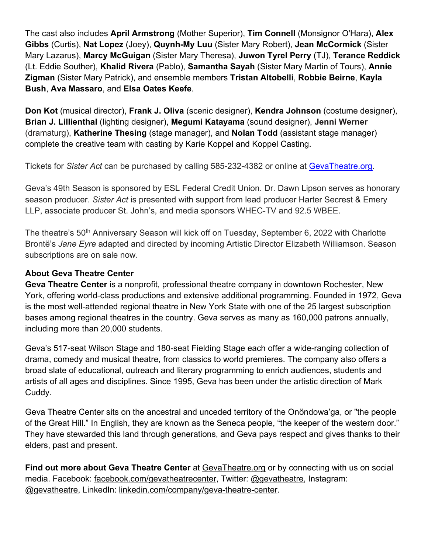The cast also includes **April Armstrong** (Mother Superior), **Tim Connell** (Monsignor O'Hara), **Alex Gibbs** (Curtis), **Nat Lopez** (Joey), **Quynh-My Luu** (Sister Mary Robert), **Jean McCormick** (Sister Mary Lazarus), **Marcy McGuigan** (Sister Mary Theresa), **Juwon Tyrel Perry** (TJ), **Terance Reddick** (Lt. Eddie Souther), **Khalid Rivera** (Pablo), **Samantha Sayah** (Sister Mary Martin of Tours), **Annie Zigman** (Sister Mary Patrick), and ensemble members **Tristan Altobelli**, **Robbie Beirne**, **Kayla Bush**, **Ava Massaro**, and **Elsa Oates Keefe**.

**Don Kot** (musical director), **Frank J. Oliva** (scenic designer), **Kendra Johnson** (costume designer), **Brian J. Lillienthal** (lighting designer), **Megumi Katayama** (sound designer), **Jenni Werner** (dramaturg), **Katherine Thesing** (stage manager), and **Nolan Todd** (assistant stage manager) complete the creative team with casting by Karie Koppel and Koppel Casting.

Tickets for *Sister Act* can be purchased by calling 585-232-4382 or online at GevaTheatre.org.

Geva's 49th Season is sponsored by ESL Federal Credit Union. Dr. Dawn Lipson serves as honorary season producer. *Sister Act* is presented with support from lead producer Harter Secrest & Emery LLP, associate producer St. John's, and media sponsors WHEC-TV and 92.5 WBEE.

The theatre's 50<sup>th</sup> Anniversary Season will kick off on Tuesday, September 6, 2022 with Charlotte Brontë's *Jane Eyre* adapted and directed by incoming Artistic Director Elizabeth Williamson. Season subscriptions are on sale now.

## **About Geva Theatre Center**

**Geva Theatre Center** is a nonprofit, professional theatre company in downtown Rochester, New York, offering world-class productions and extensive additional programming. Founded in 1972, Geva is the most well-attended regional theatre in New York State with one of the 25 largest subscription bases among regional theatres in the country. Geva serves as many as 160,000 patrons annually, including more than 20,000 students.

Geva's 517-seat Wilson Stage and 180-seat Fielding Stage each offer a wide-ranging collection of drama, comedy and musical theatre, from classics to world premieres. The company also offers a broad slate of educational, outreach and literary programming to enrich audiences, students and artists of all ages and disciplines. Since 1995, Geva has been under the artistic direction of Mark Cuddy.

Geva Theatre Center sits on the ancestral and unceded territory of the Onöndowa'ga, or "the people of the Great Hill." In English, they are known as the Seneca people, "the keeper of the western door." They have stewarded this land through generations, and Geva pays respect and gives thanks to their elders, past and present.

**Find out more about Geva Theatre Center** at GevaTheatre.org or by connecting with us on social media. Facebook: facebook.com/gevatheatrecenter, Twitter: @gevatheatre, Instagram: @gevatheatre, LinkedIn: linkedin.com/company/geva-theatre-center.